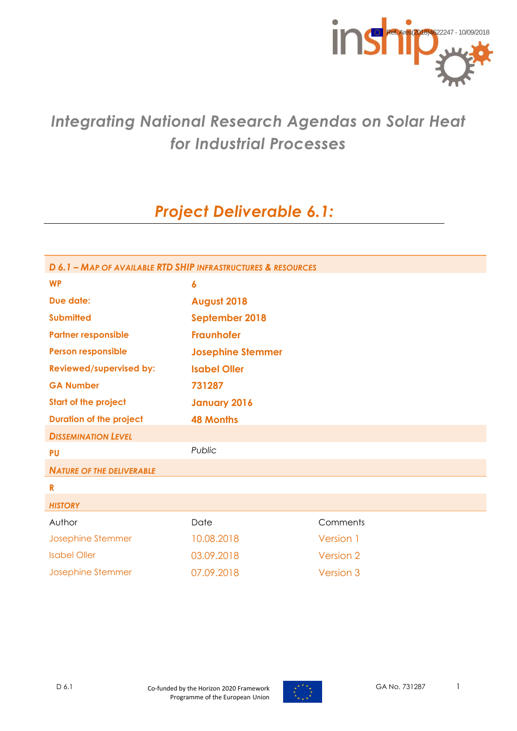

# *Integrating National Research Agendas on Solar Heat for Industrial Processes*

# *Project Deliverable 6.1:*

| D 6.1 - MAP OF AVAILABLE RTD SHIP INFRASTRUCTURES & RESOURCES |                          |           |  |
|---------------------------------------------------------------|--------------------------|-----------|--|
| <b>WP</b>                                                     | $\boldsymbol{6}$         |           |  |
| Due date:                                                     | August 2018              |           |  |
| <b>Submitted</b>                                              | September 2018           |           |  |
| <b>Partner responsible</b>                                    | <b>Fraunhofer</b>        |           |  |
| <b>Person responsible</b>                                     | <b>Josephine Stemmer</b> |           |  |
| <b>Reviewed/supervised by:</b>                                | <b>Isabel Oller</b>      |           |  |
| <b>GA Number</b>                                              | 731287                   |           |  |
| <b>Start of the project</b>                                   | <b>January 2016</b>      |           |  |
| <b>Duration of the project</b>                                | <b>48 Months</b>         |           |  |
| <b>DISSEMINATION LEVEL</b>                                    |                          |           |  |
| <b>PU</b>                                                     | Public                   |           |  |
| <b>NATURE OF THE DELIVERABLE</b>                              |                          |           |  |
| $\mathbf R$                                                   |                          |           |  |
| <b>HISTORY</b>                                                |                          |           |  |
| Author                                                        | Date                     | Comments  |  |
| Josephine Stemmer                                             | 10.08.2018               | Version 1 |  |
| <b>Isabel Oller</b>                                           | 03.09.2018               | Version 2 |  |
| Josephine Stemmer                                             | 07.09.2018               | Version 3 |  |

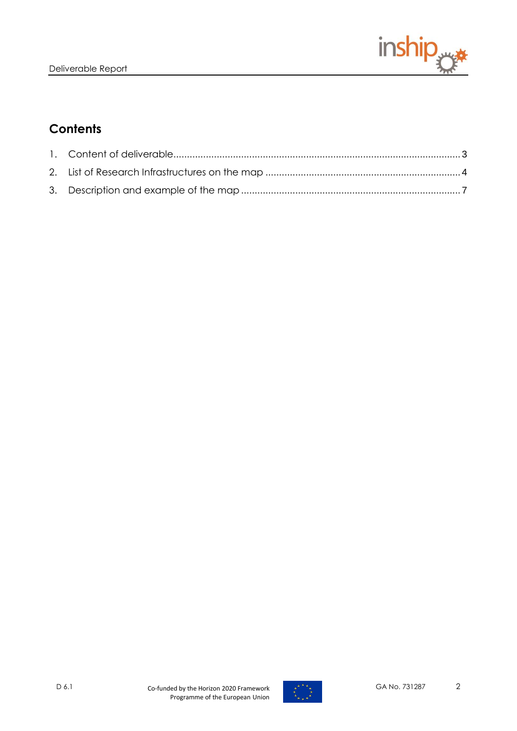

## **Contents**

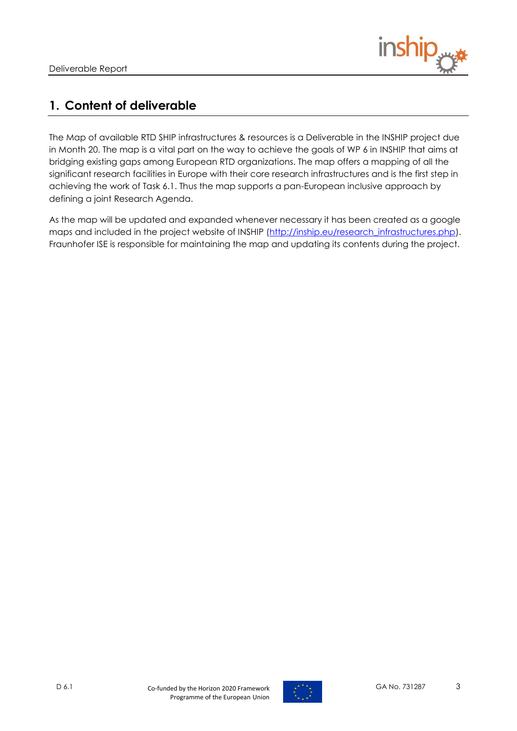

## <span id="page-2-0"></span>**1. Content of deliverable**

The Map of available RTD SHIP infrastructures & resources is a Deliverable in the INSHIP project due in Month 20. The map is a vital part on the way to achieve the goals of WP 6 in INSHIP that aims at bridging existing gaps among European RTD organizations. The map offers a mapping of all the significant research facilities in Europe with their core research infrastructures and is the first step in achieving the work of Task 6.1. Thus the map supports a pan-European inclusive approach by defining a joint Research Agenda.

As the map will be updated and expanded whenever necessary it has been created as a google maps and included in the project website of INSHIP [\(http://inship.eu/research\\_infrastructures.php\)](http://inship.eu/research_infrastructures.php). Fraunhofer ISE is responsible for maintaining the map and updating its contents during the project.

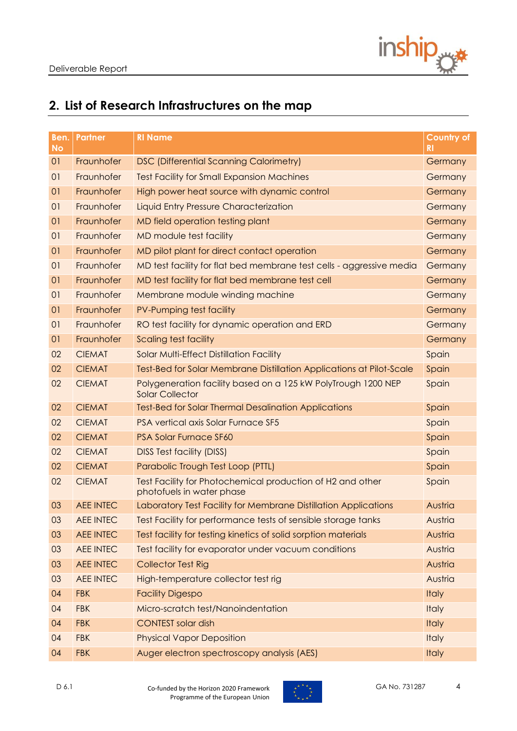

# <span id="page-3-0"></span>**2. List of Research Infrastructures on the map**

| Ben.<br><b>No</b> | Partner          | <b>RI Name</b>                                                                          | <b>Country of</b><br><b>RI</b> |
|-------------------|------------------|-----------------------------------------------------------------------------------------|--------------------------------|
| O <sub>1</sub>    | Fraunhofer       | <b>DSC (Differential Scanning Calorimetry)</b>                                          | Germany                        |
| 01                | Fraunhofer       | <b>Test Facility for Small Expansion Machines</b>                                       | Germany                        |
| O <sub>1</sub>    | Fraunhofer       | High power heat source with dynamic control                                             | Germany                        |
| 01                | Fraunhofer       | Liquid Entry Pressure Characterization                                                  | Germany                        |
| 01                | Fraunhofer       | MD field operation testing plant                                                        | Germany                        |
| 01                | Fraunhofer       | MD module test facility                                                                 | Germany                        |
| 01                | Fraunhofer       | MD pilot plant for direct contact operation                                             | Germany                        |
| 01                | Fraunhofer       | MD test facility for flat bed membrane test cells - aggressive media                    | Germany                        |
| O <sub>1</sub>    | Fraunhofer       | MD test facility for flat bed membrane test cell                                        | Germany                        |
| 01                | Fraunhofer       | Membrane module winding machine                                                         | Germany                        |
| 01                | Fraunhofer       | PV-Pumping test facility                                                                | Germany                        |
| 01                | Fraunhofer       | RO test facility for dynamic operation and ERD                                          | Germany                        |
| 01                | Fraunhofer       | Scaling test facility                                                                   | Germany                        |
| 02                | <b>CIEMAT</b>    | <b>Solar Multi-Effect Distillation Facility</b>                                         | Spain                          |
| 02                | <b>CIEMAT</b>    | Test-Bed for Solar Membrane Distillation Applications at Pilot-Scale                    | Spain                          |
| 02                | <b>CIEMAT</b>    | Polygeneration facility based on a 125 kW PolyTrough 1200 NEP<br><b>Solar Collector</b> | Spain                          |
| 02                | <b>CIEMAT</b>    | <b>Test-Bed for Solar Thermal Desalination Applications</b>                             | Spain                          |
| 02                | <b>CIEMAT</b>    | PSA vertical axis Solar Furnace SF5                                                     | Spain                          |
| 02                | <b>CIEMAT</b>    | <b>PSA Solar Furnace SF60</b>                                                           | Spain                          |
| 02                | <b>CIEMAT</b>    | <b>DISS Test facility (DISS)</b>                                                        | Spain                          |
| 02                | <b>CIEMAT</b>    | Parabolic Trough Test Loop (PTTL)                                                       | Spain                          |
| 02                | <b>CIEMAT</b>    | Test Facility for Photochemical production of H2 and other<br>photofuels in water phase | Spain                          |
| 03                | <b>AEE INTEC</b> | Laboratory Test Facility for Membrane Distillation Applications                         | Austria                        |
| 03                | <b>AEE INTEC</b> | Test Facility for performance tests of sensible storage tanks                           | Austria                        |
| 03                | <b>AEE INTEC</b> | Test facility for testing kinetics of solid sorption materials                          | Austria                        |
| 03                | <b>AEE INTEC</b> | Test facility for evaporator under vacuum conditions                                    | Austria                        |
| 03                | <b>AEE INTEC</b> | <b>Collector Test Rig</b>                                                               | Austria                        |
| 03                | <b>AEE INTEC</b> | High-temperature collector test rig                                                     | Austria                        |
| 04                | <b>FBK</b>       | <b>Facility Digespo</b>                                                                 | <b>Italy</b>                   |
| 04                | <b>FBK</b>       | Micro-scratch test/Nanoindentation                                                      | <b>Italy</b>                   |
| 04                | <b>FBK</b>       | <b>CONTEST solar dish</b>                                                               | <b>Italy</b>                   |
| 04                | <b>FBK</b>       | <b>Physical Vapor Deposition</b>                                                        | <b>Italy</b>                   |
| 04                | <b>FBK</b>       | Auger electron spectroscopy analysis (AES)                                              | <b>Italy</b>                   |



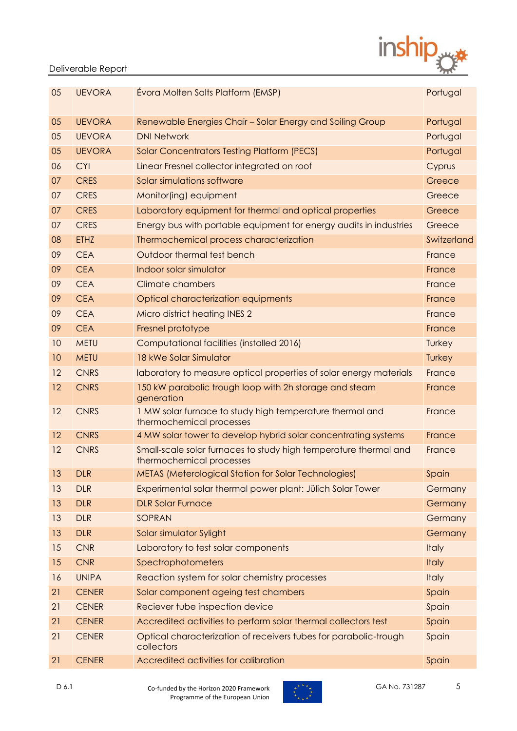

### Deliverable Report

| 05 | <b>UEVORA</b> | Évora Molten Salts Platform (EMSP)                                                           | Portugal     |
|----|---------------|----------------------------------------------------------------------------------------------|--------------|
| 05 | <b>UEVORA</b> | Renewable Energies Chair - Solar Energy and Soiling Group                                    | Portugal     |
| 05 | <b>UEVORA</b> | <b>DNI Network</b>                                                                           | Portugal     |
| 05 | <b>UEVORA</b> | <b>Solar Concentrators Testing Platform (PECS)</b>                                           | Portugal     |
| 06 | <b>CYI</b>    | Linear Fresnel collector integrated on roof                                                  | Cyprus       |
| 07 | <b>CRES</b>   | Solar simulations software                                                                   | Greece       |
| 07 | <b>CRES</b>   | Monitor(ing) equipment                                                                       | Greece       |
| 07 | <b>CRES</b>   | Laboratory equipment for thermal and optical properties                                      | Greece       |
| 07 | <b>CRES</b>   | Energy bus with portable equipment for energy audits in industries                           | Greece       |
| 08 | <b>ETHZ</b>   | Thermochemical process characterization                                                      | Switzerland  |
| 09 | <b>CEA</b>    | Outdoor thermal test bench                                                                   | France       |
| 09 | <b>CEA</b>    | Indoor solar simulator                                                                       | France       |
| 09 | <b>CEA</b>    | <b>Climate chambers</b>                                                                      | France       |
| 09 | <b>CEA</b>    | Optical characterization equipments                                                          | France       |
| 09 | <b>CEA</b>    | Micro district heating INES 2                                                                | France       |
| 09 | <b>CEA</b>    | Fresnel prototype                                                                            | France       |
| 10 | <b>METU</b>   | Computational facilities (installed 2016)                                                    | Turkey       |
| 10 | <b>METU</b>   | 18 kWe Solar Simulator                                                                       | Turkey       |
| 12 | <b>CNRS</b>   | laboratory to measure optical properties of solar energy materials                           | France       |
| 12 | <b>CNRS</b>   | 150 kW parabolic trough loop with 2h storage and steam<br>generation                         | France       |
| 12 | <b>CNRS</b>   | 1 MW solar furnace to study high temperature thermal and<br>thermochemical processes         | France       |
| 12 | <b>CNRS</b>   | 4 MW solar tower to develop hybrid solar concentrating systems                               | France       |
| 12 | <b>CNRS</b>   | Small-scale solar furnaces to study high temperature thermal and<br>thermochemical processes | France       |
| 13 | <b>DLR</b>    | METAS (Meterological Station for Solar Technologies)                                         | Spain        |
| 13 | <b>DLR</b>    | Experimental solar thermal power plant: Jülich Solar Tower                                   | Germany      |
| 13 | <b>DLR</b>    | <b>DLR Solar Furnace</b>                                                                     | Germany      |
| 13 | <b>DLR</b>    | SOPRAN                                                                                       | Germany      |
| 13 | <b>DLR</b>    | Solar simulator Sylight                                                                      | Germany      |
| 15 | <b>CNR</b>    | Laboratory to test solar components                                                          | <b>Italy</b> |
| 15 | <b>CNR</b>    | Spectrophotometers                                                                           | <b>Italy</b> |
| 16 | <b>UNIPA</b>  | Reaction system for solar chemistry processes                                                | <b>Italy</b> |
| 21 | <b>CENER</b>  | Solar component ageing test chambers                                                         | Spain        |
| 21 | <b>CENER</b>  | Reciever tube inspection device                                                              | Spain        |
| 21 | <b>CENER</b>  | Accredited activities to perform solar thermal collectors test                               | Spain        |
| 21 | <b>CENER</b>  | Optical characterization of receivers tubes for parabolic-trough<br>collectors               | Spain        |
| 21 | <b>CENER</b>  | Accredited activities for calibration                                                        | Spain        |

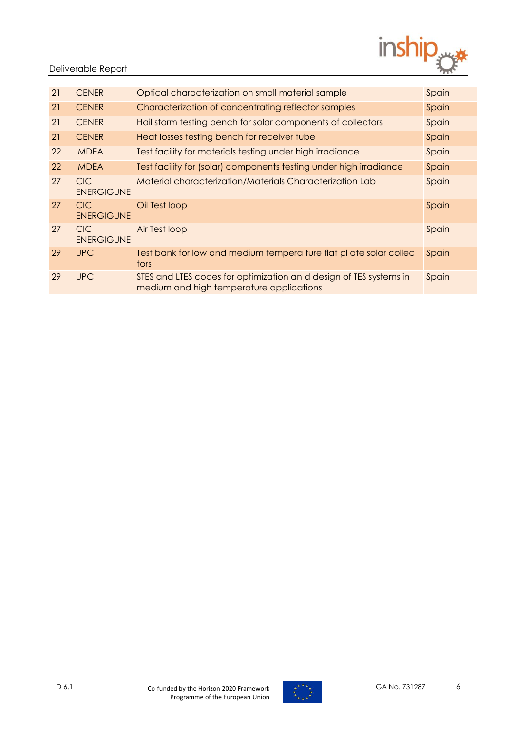

### Deliverable Report

| 21 | <b>CENER</b>                    | Optical characterization on small material sample                                                              | Spain |
|----|---------------------------------|----------------------------------------------------------------------------------------------------------------|-------|
| 21 | <b>CENER</b>                    | Characterization of concentrating reflector samples                                                            | Spain |
| 21 | <b>CENER</b>                    | Hail storm testing bench for solar components of collectors                                                    | Spain |
| 21 | <b>CENER</b>                    | Heat losses testing bench for receiver tube                                                                    | Spain |
| 22 | <b>IMDEA</b>                    | Test facility for materials testing under high irradiance                                                      | Spain |
| 22 | <b>IMDEA</b>                    | Test facility for (solar) components testing under high irradiance                                             | Spain |
| 27 | <b>CIC</b><br><b>ENERGIGUNE</b> | Material characterization/Materials Characterization Lab                                                       | Spain |
| 27 | <b>CIC</b><br><b>ENERGIGUNE</b> | Oil Test loop                                                                                                  | Spain |
| 27 | <b>CIC</b><br><b>ENERGIGUNE</b> | Air Test loop                                                                                                  | Spain |
| 29 | <b>UPC</b>                      | Test bank for low and medium tempera ture flat pl ate solar collec<br>tors                                     | Spain |
| 29 | <b>UPC</b>                      | STES and LTES codes for optimization an d design of TES systems in<br>medium and high temperature applications | Spain |

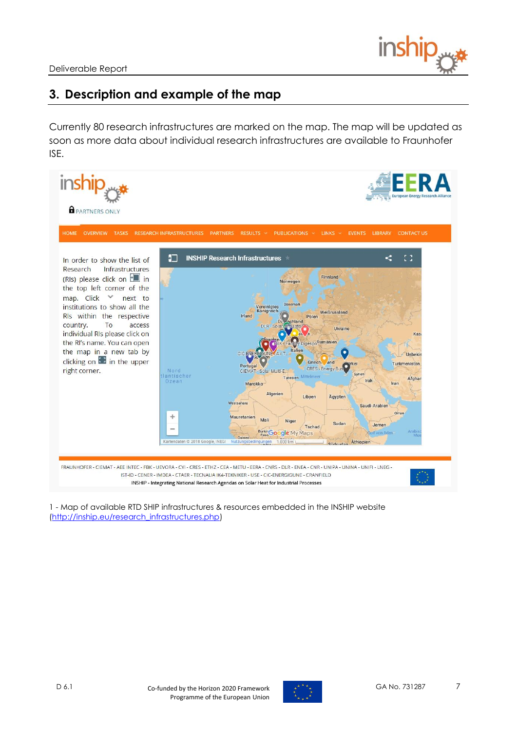

### <span id="page-6-0"></span>**3. Description and example of the map**

Currently 80 research infrastructures are marked on the map. The map will be updated as soon as more data about individual research infrastructures are available to Fraunhofer ISE.



1 - Map of available RTD SHIP infrastructures & resources embedded in the INSHIP website [\(http://inship.eu/research\\_infrastructures.php\)](http://inship.eu/research_infrastructures.php)